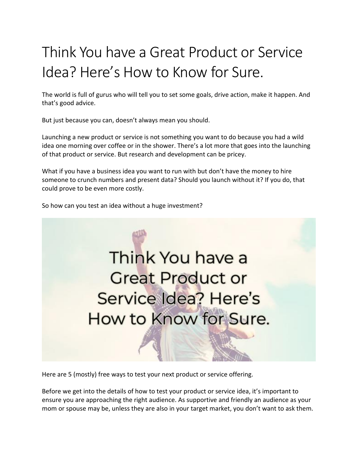# Think You have a Great Product or Service Idea? Here's How to Know for Sure.

The world is full of gurus who will tell you to set some goals, drive action, make it happen. And that's good advice.

But just because you can, doesn't always mean you should.

Launching a new product or service is not something you want to do because you had a wild idea one morning over coffee or in the shower. There's a lot more that goes into the launching of that product or service. But research and development can be pricey.

What if you have a business idea you want to run with but don't have the money to hire someone to crunch numbers and present data? Should you launch without it? If you do, that could prove to be even more costly.

So how can you test an idea without a huge investment?



Here are 5 (mostly) free ways to test your next product or service offering.

Before we get into the details of how to test your product or service idea, it's important to ensure you are approaching the right audience. As supportive and friendly an audience as your mom or spouse may be, unless they are also in your target market, you don't want to ask them.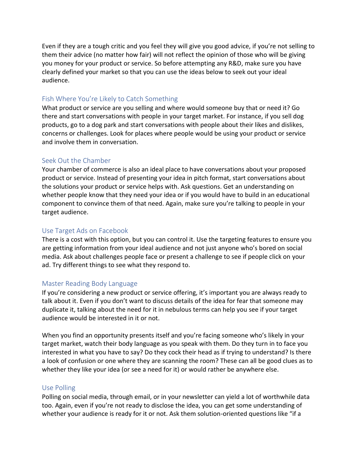Even if they are a tough critic and you feel they will give you good advice, if you're not selling to them their advice (no matter how fair) will not reflect the opinion of those who will be giving you money for your product or service. So before attempting any R&D, make sure you have clearly defined your market so that you can use the ideas below to seek out your ideal audience.

# Fish Where You're Likely to Catch Something

What product or service are you selling and where would someone buy that or need it? Go there and start conversations with people in your target market. For instance, if you sell dog products, go to a dog park and start conversations with people about their likes and dislikes, concerns or challenges. Look for places where people would be using your product or service and involve them in conversation.

# Seek Out the Chamber

Your chamber of commerce is also an ideal place to have conversations about your proposed product or service. Instead of presenting your idea in pitch format, start conversations about the solutions your product or service helps with. Ask questions. Get an understanding on whether people know that they need your idea or if you would have to build in an educational component to convince them of that need. Again, make sure you're talking to people in your target audience.

### Use Target Ads on Facebook

There is a cost with this option, but you can control it. Use the targeting features to ensure you are getting information from your ideal audience and not just anyone who's bored on social media. Ask about challenges people face or present a challenge to see if people click on your ad. Try different things to see what they respond to.

### Master Reading Body Language

If you're considering a new product or service offering, it's important you are always ready to talk about it. Even if you don't want to discuss details of the idea for fear that someone may duplicate it, talking about the need for it in nebulous terms can help you see if your target audience would be interested in it or not.

When you find an opportunity presents itself and you're facing someone who's likely in your target market, watch their body language as you speak with them. Do they turn in to face you interested in what you have to say? Do they cock their head as if trying to understand? Is there a look of confusion or one where they are scanning the room? These can all be good clues as to whether they like your idea (or see a need for it) or would rather be anywhere else.

### Use Polling

Polling on social media, through email, or in your newsletter can yield a lot of worthwhile data too. Again, even if you're not ready to disclose the idea, you can get some understanding of whether your audience is ready for it or not. Ask them solution-oriented questions like "if a